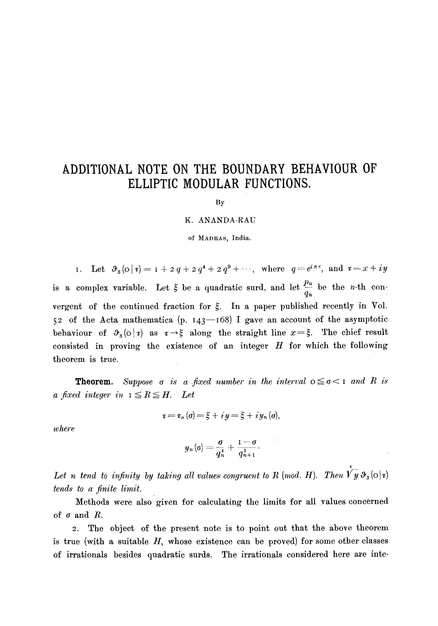## **ADDITIONAL NOTE ON THE BOUNDARY BEHAVIOUR OF ELLIPTIC MODULAR FUNCTIONS.**

By

## K. ANANDA-RAU

of MADRAS, India.

I. Let  $\vartheta_8(0|\tau)=1+2q+2q^4+2q^9+\cdots$ , where  $q=e^{i\pi\tau}$ , and  $\tau=x+iy$ is a complex variable. Let  $\xi$  be a quadratic surd, and let  $\frac{P_n}{q_n}$  be the *n*-th convergent of the continued fraction for  $\xi$ . In a paper published recently in Vol. 52 of the Acta mathematica (p.  $143-168$ ) I gave an account of the asymptotic behaviour of  $\vartheta_3(\circ|\tau)$  as  $\tau\to\xi$  along the straight line  $x=\xi$ . The chief result consisted in proving the existence of an integer  $H$  for which the following theorem is true.

**Theorem.** Suppose  $\sigma$  is a fixed number in the interval  $\sigma \leq \sigma < 1$  and R is *a* fixed integer in  $I \leq R \leq H$ . Let

$$
x\!=\!x_n\left(\sigma\right)\!=\!\xi\!+iy\!=\!\xi\!+iy_n\left(\sigma\right)\!,
$$

*where* 

$$
y_n(\sigma) = \frac{\sigma}{q_n^2} + \frac{1-\sigma}{q_{n+1}^2}.
$$

Let n tend to infinity by taking all values congruent to R (mod. H). Then  $\hat{Vy} \, \vartheta_3(\circ | \tau)$ *tends to a finite limit.* 

Methods were also' given for calculating the limits for all values concerned of  $\sigma$  and  $R$ .

2. The object of the present note is to point out that the above theorem is true (with a suitable  $H$ , whose existence can be proved) for some other classes of irrationals besides quadratic surds. The irrationals considered here are inte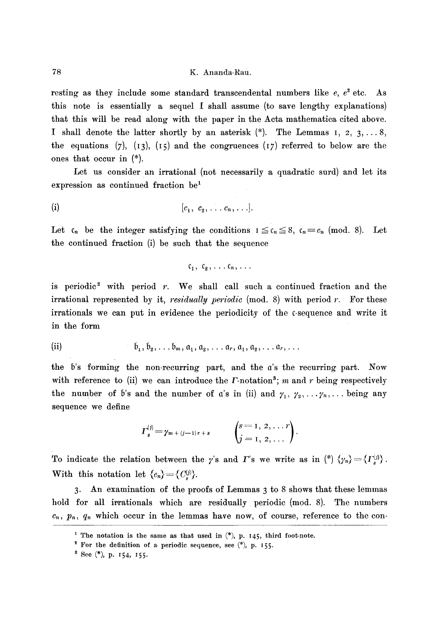resting as they include some standard transcendental numbers like  $e, e^2$  etc. As this note is essentially a sequel [ shall assume (to save lengthy explanations) that this will be read along with the paper in the Acta mathematica cited above. I shall denote the latter shortly by an asterisk (\*). The Lemmas I, 2, 3,... 8, the equations (7), (13), (15) and the congruences (17) referred to below are the ones that occur in (\*).

Let us consider an irrational (not necessarily a quadratic surd) and let its expression as continued fraction  $be<sup>1</sup>$ 

$$
[c_1, c_2, \ldots c_n, \ldots].
$$

Let  $c_n$  be the integer satisfying the conditions  $I \leq c_n \leq 8$ ,  $c_n = c_n$  (mod. 8). Let the continued fraction (i) be such that the sequence

$$
c_1, c_2, \ldots c_n, \ldots
$$

is periodic<sup>2</sup> with period  $r$ . We shall call such a continued fraction and the irrational represented by it,  $residually$   $periodic$   $(mod. 8)$  with period  $r$ . For these irrationals we can put in evidence the periodicity of the c-sequence and write it in the form

(ii) 
$$
\mathfrak{b}_1, \mathfrak{b}_2, \ldots \mathfrak{b}_m, \mathfrak{a}_1, \mathfrak{a}_2, \ldots \mathfrak{a}_r, \mathfrak{a}_1, \mathfrak{a}_2, \ldots \mathfrak{a}_r, \ldots
$$

the  $b$ 's forming the non-recurring part, and the  $a$ 's the recurring part. Now with reference to (ii) we can introduce the  $\Gamma$ -notation<sup>3</sup>; m and r being respectively the number of 5's and the number of a's in (ii) and  $\gamma_1, \gamma_2, \ldots, \gamma_n, \ldots$  being any sequence we define

$$
I_s^{(j)} = \gamma_{m+(j-1)r+s} \qquad \begin{pmatrix} s=1, 2, \ldots r \\ j=1, 2, \ldots \end{pmatrix}.
$$

To indicate the relation between the *y*'s and *I*'s we write as in (\*) $\{\gamma_n\} = {\{I_s^{(j)}\}}$ . With this notation let  $\langle c_n \rangle = \langle C^{(j)}_n \rangle$ .

3. An examination of the proofs of Lemmas 3 to 8 shows that these lemmas hold for all irrationals which are residually periodic (mod. 8). The numbers  $c_n,~ p_n,~ q_n$  which occur in the lemmas have now, of course, reference to the con-

<sup>&</sup>lt;sup>1</sup> The notation is the same as that used in  $(*)$ , p. 145, third foot-note.

<sup>&</sup>lt;sup>2</sup> For the definition of a periodic sequence, see  $(*)$ , p. 155.

 $8$  See  $(*)$ , p. 154, 155.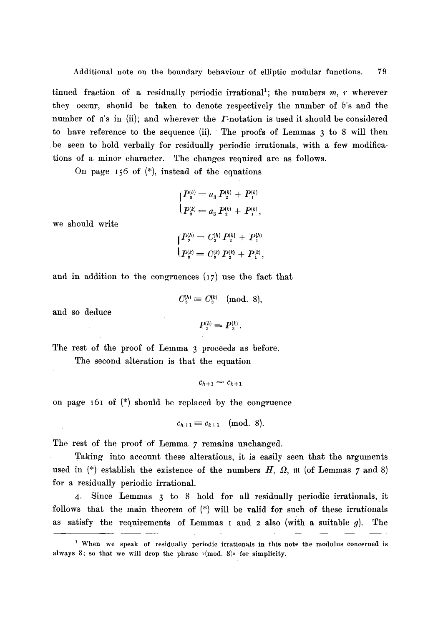tinued fraction of a residually periodic irrational<sup>1</sup>; the numbers m, r wherever they occur, should be taken to denote respectively the number of b's and the number of a's in (ii); and wherever the *F*-notation is used it should be considered to have reference to the sequence (ii). The proofs of Lemmas 3 to 8 will then be seen to hold verbally for residually periodic irrationals, with a few modifications of a minor character. The changes required are as follows.

On page I56 of (\*), instead of the equations

$$
\begin{cases}\nP_3^{(h)} = a_3 P_2^{(h)} + P_1^{(h)} \\
P_3^{(k)} = a_3 P_2^{(k)} + P_1^{(k)},\n\end{cases}
$$

we should write

$$
\begin{cases}\nP_{\text{s}}^{(h)} = C_{\text{s}}^{(h)} P_{\text{s}}^{(h)} + P_{\text{t}}^{(h)} \\
P_{\text{s}}^{(k)} = C_{\text{s}}^{(k)} P_{\text{s}}^{(k)} + P_{\text{t}}^{(k)},\n\end{cases}
$$

and in addition to the congruences (I7) use the fact that

$$
C_{\rm s}^{(h)}\equiv C_{\rm s}^{(k)}\pmod{8},
$$

and so deduce

$$
P^{(h)}_{\circ} \equiv P^{(k)}_{\circ}.
$$

The rest of the proof of Lemma 3 proceeds as before.

The second alteration is that the equation

$$
c_{h+1}=c_{k+1}
$$

on page i6I of (\*) should be replaced by the congruence

$$
c_{h+1}\equiv c_{k+1}\pmod{8}.
$$

The rest of the proof of Lemma 7 remains unchanged.

Taking into account these alterations, it is easily seen that the arguments used in  $(*)$  establish the existence of the numbers  $H$ ,  $\Omega$ , m (of Lemmas 7 and 8) for a residually periodic irrational.

4. Since Lemmas 3 to 8 hold for all residually periodic irrationals, it follows that the main theorem of  $(*)$  will be valid for such of these irrationals as satisfy the requirements of Lemmas I and  $2$  also (with a suitable  $g$ ). The

<sup>&</sup>lt;sup>1</sup> When we speak of residually periodic irrationals in this note the modulus concerned is always 8; so that we will drop the phrase  $\sqrt{m}$  (mod. 8), for simplicity.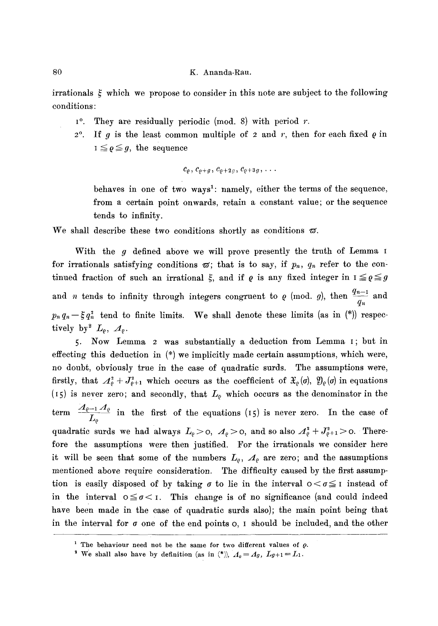irrationals  $\xi$  which we propose to consider in this note are subject to the following conditions:

- $1^{\circ}$ . They are residually periodic (mod. 8) with period r.
- $2^{\circ}$ . If g is the least common multiple of 2 and r, then for each fixed  $\varrho$  in  $I \leq \varrho \leq g$ , the sequence

$$
c_{\varrho},c_{\varrho+g},c_{\varrho+2g},c_{\varrho+3g},\ldots
$$

behaves in one of two ways<sup>1</sup>: namely, either the terms of the sequence, from a certain point onwards, retain a constant value; or the sequence tends to infinity.

We shall describe these two conditions shortly as conditions  $\varpi$ .

With the g defined above we will prove presently the truth of Lemma I for irrationals satisfying conditions  $\varpi$ ; that is to say, if  $p_n$ ,  $q_n$  refer to the continued fraction of such an irrational  $\xi$ , and if  $\varrho$  is any fixed integer in  $I \leq \varrho \leq g$ and *n* tends to infinity through integers congruent to  $\rho$  (mod. g), then  $\frac{1}{q_n}$  and  $p_n q_n - \xi q_n^2$  tend to finite limits. We shall denote these limits (as in  $(*)$ ) respectively by  $^2$   $L_{\varrho}$ ,  $A_{\varrho}$ .

5. Now Lemma 2 was substantially a deduction from Lemma I; but in effecting this deduction in (\*) we implicitly made certain assumptions, which were, no doubt, obviously true in the case of quadratic surds. The assumptions were, firstly, that  $A_{\varrho}^2 + J_{\varrho+1}^2$  which occurs as the coefficient of  $\mathfrak{X}_{\varrho}(\sigma)$ ,  $\mathfrak{Y}_{\varrho}(\sigma)$  in equations (15) is never zero; and secondly, that  $L_{\varrho}$  which occurs as the denominator in the term  $\frac{1-\epsilon-1}{L_{\varrho}}$  in the first of the equations (15) is never zero. In the case of quadratic surds we had always  $L_{\varrho} > 0$ ,  $A_{\varrho} > 0$ , and so also  $A_{\varrho}^{2} + J_{\varrho+1}^{2} > 0$ . Therefore the assumptions were then justified. For the irrationals we consider here it will be seen that some of the numbers  $L_{\rho}$ ,  $A_{\rho}$  are zero; and the assumptions mentioned above require consideration. The difficulty caused by the first assumption is easily disposed of by taking  $\sigma$  to lie in the interval  $0 < \sigma \leq 1$  instead of in the interval  $0 \leq \sigma < 1$ . This change is of no significance (and could indeed have been made in the case of quadratic surds also); the main point being that in the interval for  $\sigma$  one of the end points  $\sigma$ , I should be included, and the other

<sup>&</sup>lt;sup>1</sup> The behaviour need not be the same for two different values of  $\rho$ .

<sup>&</sup>lt;sup>2</sup> We shall also have by definition (as in  $(*)$ ),  $A_0 = A_g$ ,  $L_{g+1} = L_1$ .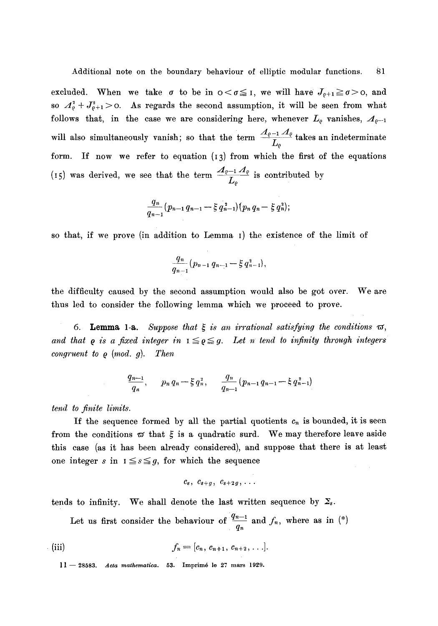excluded. When we take  $\sigma$  to be in  $0 < \sigma \leq 1$ , we will have  $J_{\rho+1} \geq \sigma > 0$ , and so  $A_{\varrho}^2 + J_{\varrho+1}^2 > 0$ . As regards the second assumption, it will be seen from what follows that, in the case we are considering here, whenever  $L_{\varrho}$  vanishes,  $A_{\varrho-1}$ will also simultaneously vanish; so that the term  $\frac{p-2-q}{q}$  takes an indeterminate  $L_{\varrho_-}$ form. If now we refer to equation (I3) from which the first of the equations (15) was derived, we see that the term  $\frac{1}{L_{\varrho}}$  is contributed by

$$
\frac{q_n}{q_{n-1}}(p_{n-1}q_{n-1}-\xi q_{n-1}^2)(p_nq_n-\xi q_n^2);
$$

so that, if we prove (in addition to Lemma I) the existence of the limit of

$$
\frac{q_n}{q_{n-1}}(p_{n-1} q_{n-1} - \xi q_{n-1}^2),
$$

the difficulty caused by the second assumption would also be got over. We are thus led to consider the following lemma which we proceed to prove.

6. **Lemma** 1-a. *Suppose that*  $\xi$  *is an irrational satisfying the conditions*  $\varpi$ , and that  $\rho$  is a fixed integer in  $I \leq \rho \leq g$ . Let *n* tend to infinity through integers *congruent to*  $\varrho$  *(mod. g). Then* 

$$
\frac{q_{n-1}}{q_n}, \qquad p_n q_n - \xi q_n^2, \qquad \frac{q_n}{q_{n-1}} (p_{n-1} q_{n-1} - \xi q_{n-1}^2)
$$

*tend to finite limits.* 

If the sequence formed by all the partial quotients  $c_n$  is bounded, it is seen from the conditions  $\varpi$  that  $\xi$  is a quadratic surd. We may therefore leave aside this case (as it has been already considered), and suppose that there is at least one integer s in  $I \leq s \leq g$ , for which the sequence

$$
c_s, c_{s+g}, c_{s+2g}, \ldots
$$

tends to infinity. We shall denote the last written sequence by  $\Sigma_s$ .

Let us first consider the behaviour of  $\frac{4n-1}{q_n}$  and  $f_n$ , where as in (\*)

(iii) 
$$
f_n = [c_n, c_{n+1}, c_{n+2}, \ldots].
$$

ll- 28583. *Acta mathematica.* 53. Imprim6 le 27 mars 1929.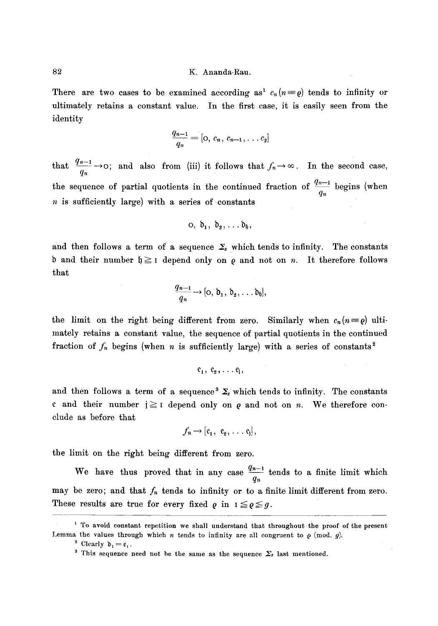There are two cases to be examined according as<sup>1</sup>  $c_n(n=0)$  tends to infinity or ultimately retains a constant value. In the first case, it is easily seen from the identity

$$
\frac{q_{n-1}}{q_n} = [0, c_n, c_{n-1}, \ldots, c_2]
$$

that  $\frac{q_{n-1}}{q_n} \rightarrow \infty$ ; and also from (iii) it follows that  $f_n \rightarrow \infty$ . In the second case, the sequence of partial quotients in the continued fraction of  $\frac{q_n}{q_n}$  begins (when  $n$  is sufficiently large) with a series of constants

$$
o, b_1, b_2, \ldots b_6,
$$

and then follows a term of a sequence  $\Sigma_s$  which tends to infinity. The constants b and their number  $\mathfrak{h} \geq 1$  depend only on  $\rho$  and not on n. It therefore follows that

$$
\frac{q_{n-1}}{q_n}\to[0, \mathfrak{d}_1, \mathfrak{d}_2, \ldots, \mathfrak{d}_6],
$$

the limit on the right being different from zero. Similarly when  $c_n(n=\rho)$  ultimately retains a constant value, the sequence of partial quotients in the continued fraction of  $f_n$  begins (when n is sufficiently large) with a series of constants<sup>2</sup>

$$
\mathfrak{e}_1, \ \mathfrak{e}_2, \ldots \mathfrak{e}_i,
$$

and then follows a term of a sequence<sup>3</sup>  $\Sigma$ <sub>s</sub> which tends to infinity. The constants e and their number  $i \geq 1$  depend only on  $\varrho$  and not on n. We therefore conclude as before that

$$
f_n \rightarrow [e_1, e_2, \ldots, e_j],
$$

the limit on the right being different from zero.

We have thus proved that in any case  $\frac{q_n-1}{q_n}$  tends to a finite limit which may be zero; and that  $f_n$  tends to infinity or to a finite limit different from zero. These results are true for every fixed  $\rho$  in  $I \leq \rho \leq g$ .

 $\frac{1}{1}$  To avoid constant repetition we shall understand that throughout the proof of the present Lemma the values through which *n* tends to infinity are all congruent to  $\rho$  (mod. g).

<sup>&</sup>lt;sup>2</sup> Clearly  $\mathfrak{d}_1 = \mathfrak{e}_1$ .

<sup>&</sup>lt;sup>3</sup> This sequence need not be the same as the sequence  $\Sigma_s$  last mentioned.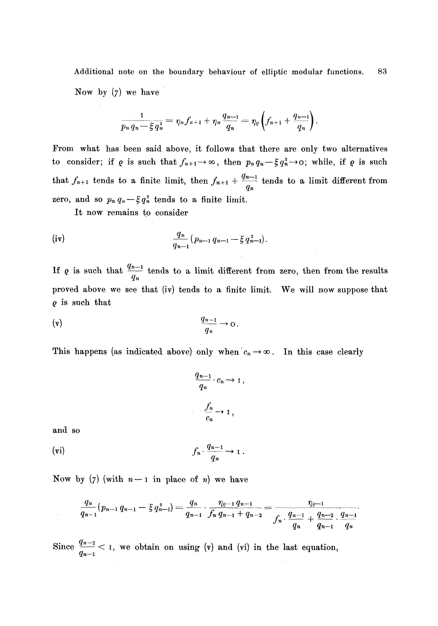Additional note on the boundary behaviour of elliptic modular functions. 83 Now by (7) we have

$$
\frac{1}{p_n q_n - \xi q_n^3} = \eta_n f_{n+1} + \eta_n \frac{q_{n-1}}{q_n} = \eta_\varrho \left( f_{n+1} + \frac{q_{n-1}}{q_n} \right).
$$

From what has been said above, it follows that there are only two alternatives to consider; if  $\varrho$  is such that  $f_{n+1}\to\infty$ , then  $p_nq_n-\xi q_n^2\to 0$ ; while, if  $\varrho$  is such that  $f_{n+1}$  tends to a finite limit, then  $f_{n+1} + \frac{q_n-1}{q}$  tends to a limit different from *qn*  zero, and so  $p_n q_n - \xi q_n^2$  tends to a finite limit.

It now remains to consider

(iv) 
$$
\frac{q_n}{q_{n-1}}(p_{n-1} q_{n-1} - \xi q_{n-1}^2).
$$

If  $\rho$  is such that  $\frac{4n-1}{q_n}$  tends to a limit different from zero, then from the results proved above we see that (iv) tends to a finite limit. We will now suppose that  $\rho$  is such that

$$
\frac{q_{n-1}}{q_n} \to 0.
$$

This happens (as indicated above) only when  $c_n \to \infty$ . In this case clearly

$$
\frac{q_{n-1}}{q_n} \cdot c_n \to 1,
$$
  

$$
\frac{f_n}{c_n} \to 1,
$$

and so

 $\cdot$ 

$$
(vi) \t\t f_n \cdot \frac{q_{n-1}}{q_n} \to 1.
$$

Now by (7) (with  $n-1$  in place of n) we have

$$
\frac{q_n}{q_{n-1}}(p_{n-1} q_{n-1} - \xi q_{n-1}^2) = \frac{q_n}{q_{n-1}} \cdot \frac{\eta_{\ell-1} q_{n-1}}{f_n q_{n-1} + q_{n-2}} = \frac{\eta_{\ell-1}}{f_n \cdot \frac{q_{n-1}}{q_n} + \frac{q_{n-2}}{q_{n-1}} \cdot \frac{q_{n-1}}{q_n}}
$$

Since  $\frac{q_{n-2}}{q_{n-1}} < 1$ , we obtain on using (v) and (vi) in the last equation,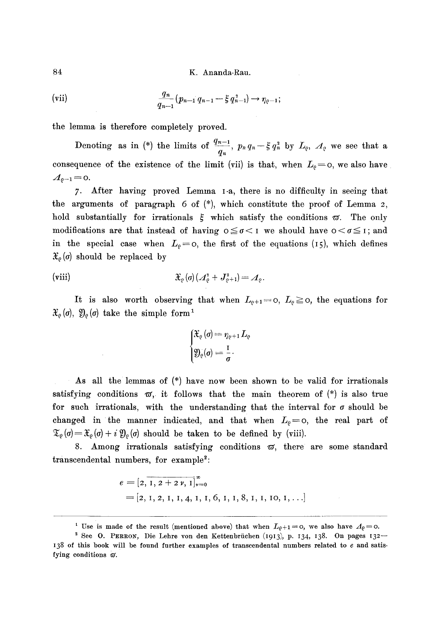84 K. Ananda-Rau.

(vii) 
$$
\frac{q_n}{q_{n-1}}(p_{n-1} q_{n-1} - \xi q_{n-1}^2) \to \eta_{\varrho-1};
$$

the lemma is therefore completely proved.

Denoting as in (\*) the limits of  $\frac{4n-1}{q_n}$ ,  $p_n q_n - \xi q_n^2$  by  $L_{\varrho}$ ,  $\Lambda_{\varrho}$  we see that a consequence of the existence of the limit (vii) is that, when  $L_e = o$ , we also have  $A_{\varrho-1} =$  0.

7. After having proved Lemma I-a, there is no difficulty in seeing that the arguments of paragraph  $6$  of  $(*)$ , which constitute the proof of Lemma 2, hold substantially for irrationals  $\xi$  which satisfy the conditions  $\varpi$ . The only modifications are that instead of having  $0 \leq \sigma < 1$  we should have  $0 < \sigma \leq 1$ ; and in the special case when  $L_{\varrho}=0$ , the first of the equations (15), which defines  $\mathfrak{X}_{\rho}\left( \sigma\right)$  should be replaced by

$$
\text{(viii)} \hspace{3.2cm} \mathfrak{X}_{\varrho}\left(\sigma\right)\left(\mathcal{A}^{\scriptscriptstyle 2}_{\varrho}+\mathcal{J}^{\scriptscriptstyle 2}_{\varrho+1}\right)=\mathcal{A}_{\varrho}.
$$

It is also worth observing that when  $L_{\varrho+1}=0$ ,  $L_{\varrho}\geq 0$ , the equations for  $\mathfrak{X}_{\varrho}\left(\sigma\right), \mathfrak{Y}_{\varrho}\left(\sigma\right)$  take the simple form<sup>1</sup>

$$
\begin{cases}\mathfrak{X}_{\varrho}\left(\sigma\right)=\eta_{\varrho+1}\,L_{\varrho} \\ \mathfrak{Y}_{\varrho}(\sigma)=\frac{\mathrm{I}}{\sigma} \end{cases}
$$

As all the lemmas of (\*) have now been shown to be valid for irrationals satisfying conditions  $\varpi$ , it follows that the main theorem of (\*) is also true for such irrationals, with the understanding that the interval for  $\sigma$  should be changed in the manner indicated, and that when  $L_{\varrho}=$  o, the real part of  $\mathfrak{T}_{\varrho}(\sigma)=\mathfrak{X}_{\varrho}(\sigma)+i\mathfrak{Y}_{\varrho}(\sigma)$  should be taken to be defined by (viii).

8. Among irrationals satisfying conditions  $\varpi$ , there are some standard transcendental numbers, for example<sup>2</sup>:

$$
e = [2, 1, 2 + 2 \nu, 1]_{\nu=0}^{\infty}
$$
  
= [2, 1, 2, 1, 1, 4, 1, 1, 6, 1, 1, 8, 1, 1, 10, 1, ...]

<sup>&</sup>lt;sup>1</sup> Use is made of the result (mentioned above) that when  $L_{\varrho+1}=0$ , we also have  $\Lambda_{\varrho}=0$ .

<sup>&</sup>lt;sup>2</sup> See O. PERRON, Die Lehre von den Kettenbrüchen (1913), p. 134, 138. On pages 132-I38 of this book will be found further examples of transcendental numbers related to e and satisfying conditions  $\varpi$ .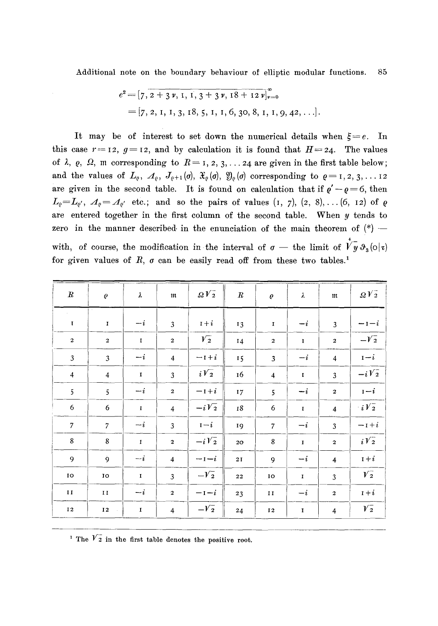Additional note on the boundary behaviour of elliptic modular functions. 85

$$
e^{2} = [7, 2 + 3 \nu, 1, 1, 3 + 3 \nu, 18 + 12 \nu]_{\nu=0}^{\infty}
$$
  
= [7, 2, 1, 1, 3, 18, 5, 1, 1, 6, 30, 8, 1, 1, 9, 42, ...].

It may be of interest to set down the numerical details when  $\xi = e$ . In this case  $r = 12$ ,  $g = 12$ , and by calculation it is found that  $H = 24$ . The values of  $\lambda$ ,  $\varrho$ ,  $\Omega$ , m corresponding to  $R = 1, 2, 3, \ldots$  24 are given in the first table below; and the values of  $L_{\varrho}$ ,  $\mathcal{A}_{\varrho}$ ,  $J_{\varrho+1}(\sigma)$ ,  $\mathfrak{X}_{\varrho}(\sigma)$ ,  $\mathfrak{Y}_{\varrho}(\sigma)$  corresponding to  $\varrho=1, 2, 3, \ldots$  12 are given in the second table. It is found on calculation that if  $\varrho' - \varrho = 6$ , then  $L_{\varrho}=L_{\varrho'}$ ,  $A_{\varrho}=\mathcal{A}_{\varrho'}$  etc.; and so the pairs of values  $(1, 7)$ ,  $(2, 8)$ ,...  $(6, 12)$  of  $\varrho$ are entered together in the first column of the second table. When y tends to zero in the manner described in the enunciation of the main theorem of  $(*)$  -4 with, of course, the modification in the interval of  $\sigma$  — the limit of  $V y \vartheta_3(\circ | \sigma)$ for given values of  $R$ ,  $\sigma$  can be easily read off from these two tables.<sup>1</sup>

| $\boldsymbol{R}$ | $\varrho$                 | λ           | $\mathfrak m$    | $\Omega V_2^-$ | $\boldsymbol{R}$ | $\varrho$               | λ           | $\mathfrak m$           | $\Omega V_2^-$     |
|------------------|---------------------------|-------------|------------------|----------------|------------------|-------------------------|-------------|-------------------------|--------------------|
| $\mathbf I$      | $\mathbf I$               | $-i$        | $\overline{3}$   | $1+i$          | 13               | $\mathbf I$             | $-i$        | $\overline{3}$          | $-1-i$             |
| $\mathbf 2$      | $\mathbf 2$               | $\mathbf I$ | $\overline{a}$   | $\sqrt{2}$     | 14               | $\overline{\mathbf{c}}$ | $\mathbf I$ | $\mathbf 2$             | $-V_2$             |
| $\mathfrak{Z}$   | $\mathfrak{Z}$            | $-i$        | $\overline{4}$   | $-1+i$         | 15               | $\overline{3}$          | $-i$        | $\overline{4}$          | $1-i$              |
| $\overline{4}$   | $\overline{4}$            | $\mathbf I$ | $\overline{3}$   | $i\sqrt{2}$    | 16               | $\overline{\mathbf{4}}$ | $\mathbf I$ | 3                       | $-i\overline{V_2}$ |
| 5                | 5                         | $-i$        | $\mathbf 2$      | $-1+i$         | 17               | 5                       | $-i$        | $\overline{\mathbf{c}}$ | $1-i$              |
| 6                | 6                         | $\mathbf I$ | $\overline{4}$   | $-iV_2$        | 18               | $\boldsymbol{6}$        | $\mathbf I$ | $\overline{\mathbf{4}}$ | $iV_2$             |
| $\boldsymbol{7}$ | $\boldsymbol{7}$          | $-i$        | 3                | $1-i$          | 19               | $\overline{7}$          | $-i$        | 3                       | $-1+i$             |
| $\bf 8$          | $\bf 8$                   | $\mathbf I$ | $\mathbf 2$      | $-iV_2$        | 20               | 8                       | $\mathbf I$ | $\mathbf 2$             | $i\sqrt{2}$        |
| 9                | $\dot{9}$                 | $-i$        | $\overline{4}$   | $-i$           | 21               | 9                       | $-i$        | $\overline{4}$          | $1+i$              |
| IO               | IO                        | $\mathbf I$ | 3                | $-V2$          | 22               | 10                      | $\mathbf I$ | 3                       | $V_2^-$            |
| $\mathbf{I}$ I   | $\mathbf{I}$ $\mathbf{I}$ | $-i$        | $\boldsymbol{2}$ | $-1-i$         | 23               | II                      | $-i$        | $\mathbf 2$             | $1+i$              |
| 12               | $\bf I\,2$                | $\mathbf I$ | $\overline{4}$   | $-\sqrt{2}$    | 24               | 12                      | $\mathbf I$ | $\overline{4}$          | $V_2^-$            |

<sup>1</sup> The  $\overline{V}_2$  in the first table denotes the positive root.